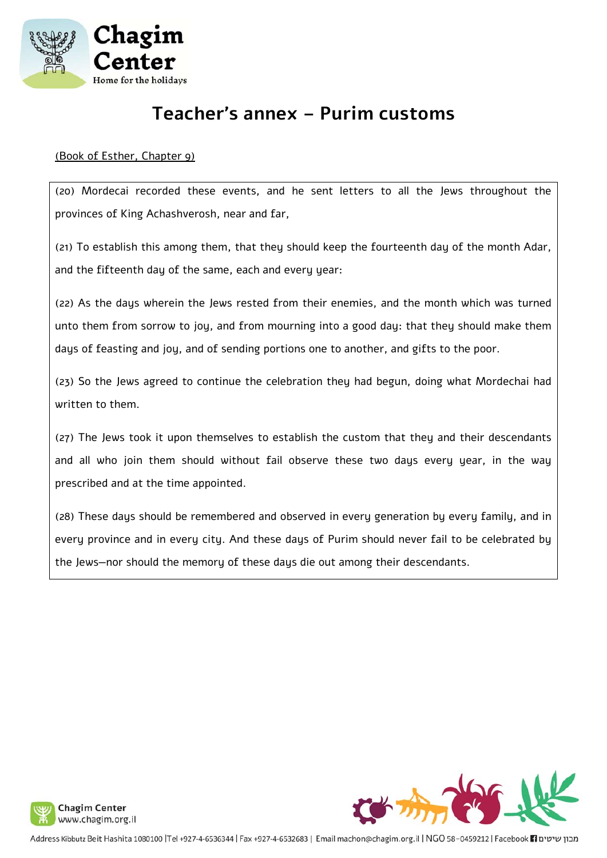

# **Teacher's annex – Purim customs**

# (Book of Esther, Chapter 9)

(20) Mordecai recorded these events, and he sent letters to all the Jews throughout the provinces of King Achashverosh, near and far,

(21) To establish this among them, that they should keep the fourteenth day of the month Adar, and the fifteenth day of the same, each and every year:

(22) As the days wherein the Jews rested from their enemies, and the month which was turned unto them from sorrow to joy, and from mourning into a good day: that they should make them days of feasting and joy, and of sending portions one to another, and gifts to the poor.

(23) So the Jews agreed to continue the celebration they had begun, doing what Mordechai had written to them.

(27) The Jews took it upon themselves to establish the custom that they and their descendants and all who join them should without fail observe these two days every year, in the way prescribed and at the time appointed.

(28) These days should be remembered and observed in every generation by every family, and in every province and in every city. And these days of Purim should never fail to be celebrated by the Jews—nor should the memory of these days die out among their descendants.



מבון שיטים Facebook 11 ו-Address Kibbutz Beit Hashita 1080100 |Tel +927-4-6536344 | Fax +927-4-6532683 | Email machon@chagim.org.il | NGO 58-0459212 | Facebook 1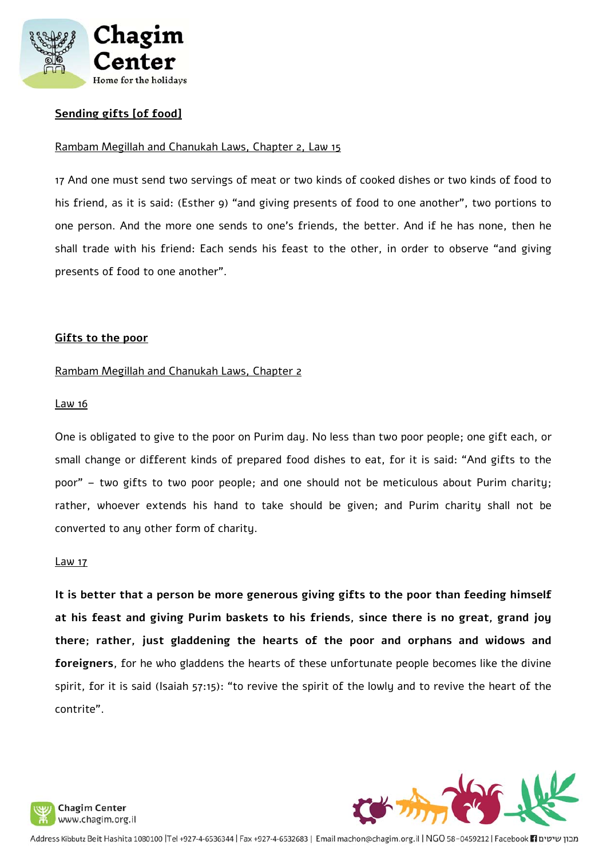

# **Sending gifts [of food]**

### Rambam Megillah and Chanukah Laws, Chapter 2, Law 15

17 And one must send two servings of meat or two kinds of cooked dishes or two kinds of food to his friend, as it is said: (Esther 9) "and giving presents of food to one another", two portions to one person. And the more one sends to one's friends, the better. And if he has none, then he shall trade with his friend: Each sends his feast to the other, in order to observe "and giving presents of food to one another".

#### **Gifts to the poor**

#### Rambam Megillah and Chanukah Laws, Chapter 2

#### Law 16

One is obligated to give to the poor on Purim day. No less than two poor people; one gift each, or small change or different kinds of prepared food dishes to eat, for it is said: "And gifts to the poor" – two gifts to two poor people; and one should not be meticulous about Purim charity; rather, whoever extends his hand to take should be given; and Purim charity shall not be converted to any other form of charity.

#### Law 17

**It is better that a person be more generous giving gifts to the poor than feeding himself at his feast and giving Purim baskets to his friends, since there is no great, grand joy there; rather, just gladdening the hearts of the poor and orphans and widows and foreigners**, for he who gladdens the hearts of these unfortunate people becomes like the divine spirit, for it is said (Isaiah 57:15): "to revive the spirit of the lowly and to revive the heart of the contrite".



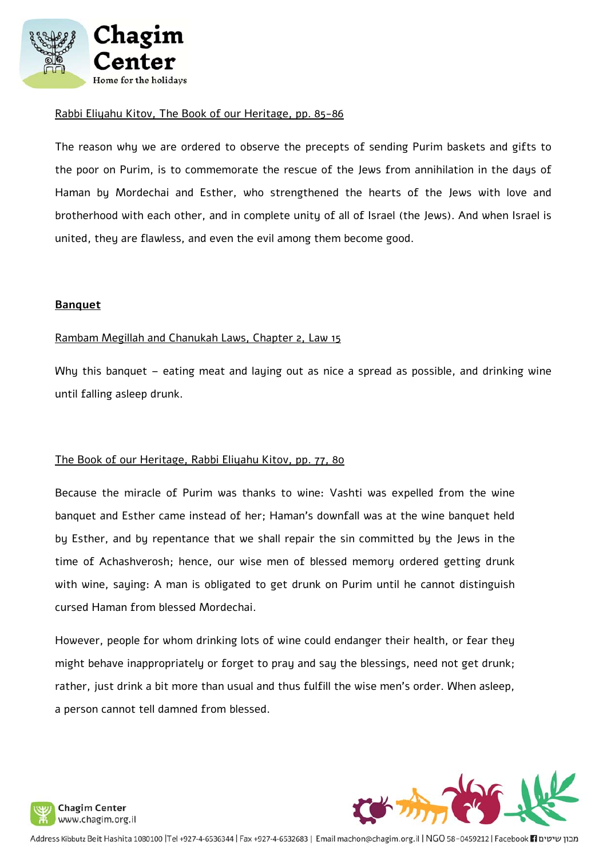

#### Rabbi Eliyahu Kitov, The Book of our Heritage, pp. 85-86

The reason why we are ordered to observe the precepts of sending Purim baskets and gifts to the poor on Purim, is to commemorate the rescue of the Jews from annihilation in the days of Haman by Mordechai and Esther, who strengthened the hearts of the Jews with love and brotherhood with each other, and in complete unity of all of Israel (the Jews). And when Israel is united, they are flawless, and even the evil among them become good.

#### **Banquet**

#### Rambam Megillah and Chanukah Laws, Chapter 2, Law 15

Why this banquet – eating meat and laying out as nice a spread as possible, and drinking wine until falling asleep drunk.

#### The Book of our Heritage, Rabbi Eliyahu Kitov, pp. 77, 80

Because the miracle of Purim was thanks to wine: Vashti was expelled from the wine banquet and Esther came instead of her; Haman's downfall was at the wine banquet held by Esther, and by repentance that we shall repair the sin committed by the Jews in the time of Achashverosh; hence, our wise men of blessed memory ordered getting drunk with wine, saying: A man is obligated to get drunk on Purim until he cannot distinguish cursed Haman from blessed Mordechai.

However, people for whom drinking lots of wine could endanger their health, or fear they might behave inappropriately or forget to pray and say the blessings, need not get drunk; rather, just drink a bit more than usual and thus fulfill the wise men's order. When asleep, a person cannot tell damned from blessed.



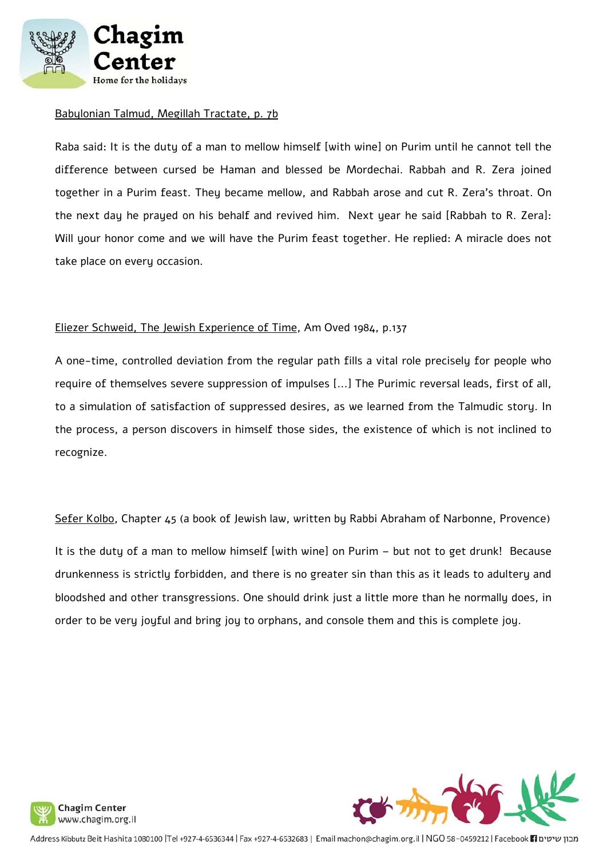

### Babylonian Talmud, Megillah Tractate, p. 7b

Raba said: It is the duty of a man to mellow himself [with wine] on Purim until he cannot tell the difference between cursed be Haman and blessed be Mordechai. Rabbah and R. Zera joined together in a Purim feast. They became mellow, and Rabbah arose and cut R. Zera's throat. On the next day he prayed on his behalf and revived him. Next year he said [Rabbah to R. Zera]: Will your honor come and we will have the Purim feast together. He replied: A miracle does not take place on every occasion.

## Eliezer Schweid, The Jewish Experience of Time, Am Oved 1984, p.137

A one-time, controlled deviation from the regular path fills a vital role precisely for people who require of themselves severe suppression of impulses [...] The Purimic reversal leads, first of all, to a simulation of satisfaction of suppressed desires, as we learned from the Talmudic story. In the process, a person discovers in himself those sides, the existence of which is not inclined to recognize.

Sefer Kolbo, Chapter 45 (a book of Jewish law, written by Rabbi Abraham of Narbonne, Provence)

It is the duty of a man to mellow himself [with wine] on Purim – but not to get drunk! Because drunkenness is strictly forbidden, and there is no greater sin than this as it leads to adultery and bloodshed and other transgressions. One should drink just a little more than he normally does, in order to be very joyful and bring joy to orphans, and console them and this is complete joy.





מבון שיטים Facebook 11 ו-Address Kibbutz Beit Hashita 1080100 |Tel +927-4-6536344 | Fax +927-4-6532683 | Email machon@chagim.org.il | NGO 58-0459212 | Facebook 1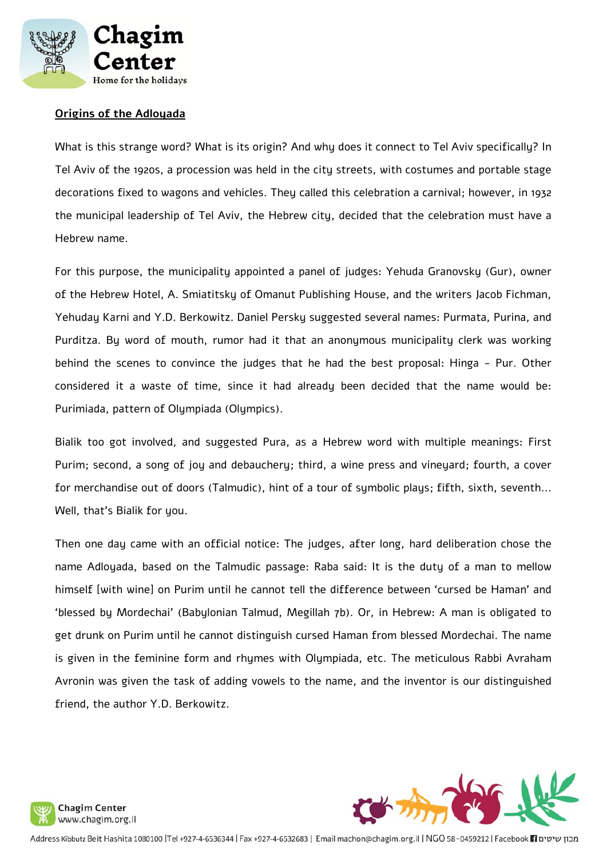

# **Origins of the Adloyada**

What is this strange word? What is its origin? And why does it connect to Tel Aviv specifically? In Tel Aviv of the 1920s, a procession was held in the city streets, with costumes and portable stage decorations fixed to wagons and vehicles. They called this celebration a carnival; however, in 1932 the municipal leadership of Tel Aviv, the Hebrew city, decided that the celebration must have a Hebrew name.

For this purpose, the municipality appointed a panel of judges: Yehuda Granovsky (Gur), owner of the Hebrew Hotel, A. Smiatitsky of Omanut Publishing House, and the writers Jacob Fichman, Yehuday Karni and Y.D. Berkowitz. Daniel Persky suggested several names: Purmata, Purina, and Purditza. By word of mouth, rumor had it that an anonymous municipality clerk was working behind the scenes to convince the judges that he had the best proposal: Hinga - Pur. Other considered it a waste of time, since it had already been decided that the name would be: Purimiada, pattern of Olumpiada (Olumpics).

Bialik too got involved, and suggested Pura, as a Hebrew word with multiple meanings: First Purim; second, a song of joy and debauchery; third, a wine press and vineyard; fourth, a cover for merchandise out of doors (Talmudic), hint of a tour of symbolic plays; fifth, sixth, seventh... Well, that's Bialik for you.

Then one day came with an official notice: The judges, after long, hard deliberation chose the name Adloyada, based on the Talmudic passage: Raba said: It is the duty of a man to mellow himself [with wine] on Purim until he cannot tell the difference between 'cursed be Haman' and 'blessed by Mordechai' (Babylonian Talmud, Megillah 7b). Or, in Hebrew: A man is obligated to get drunk on Purim until he cannot distinguish cursed Haman from blessed Mordechai. The name is given in the feminine form and rhymes with Olympiada, etc. The meticulous Rabbi Avraham Avronin was given the task of adding vowels to the name, and the inventor is our distinguished friend, the author Y.D. Berkowitz.



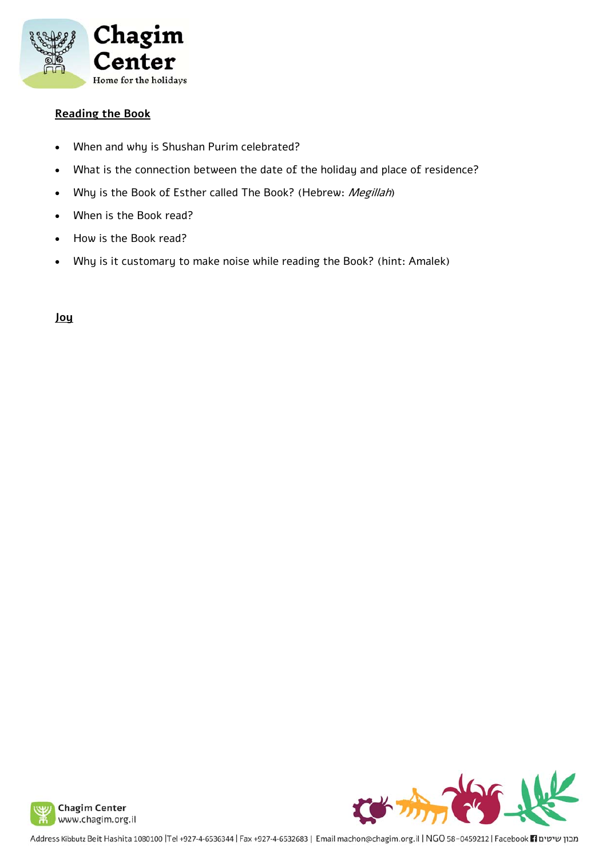

## **Reading the Book**

- When and why is Shushan Purim celebrated?
- What is the connection between the date of the holiday and place of residence?
- Why is the Book of Esther called The Book? (Hebrew: Megillah)
- When is the Book read?
- How is the Book read?
- Why is it customary to make noise while reading the Book? (hint: Amalek)

**Joy**





Address Kibbutz Beit Hashita 1080100 |Tel +927-4-6536344 | Fax +927-4-6532683 | Email machon@chagim.org.il | NGO 58-0459212 | Facebook 1 מבון שיטים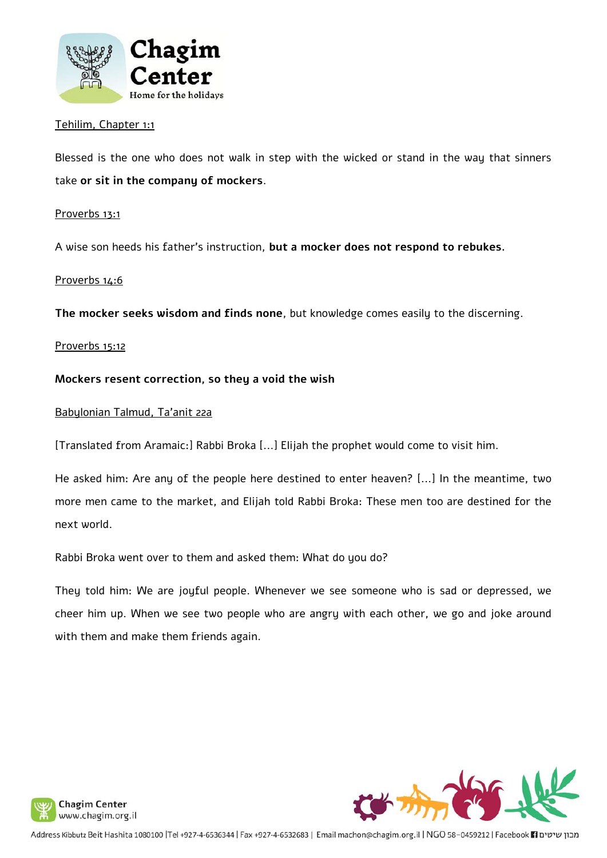

## Tehilim, Chapter 1:1

Blessed is the one who does not walk in step with the wicked or stand in the way that sinners take **or sit in the company of mockers**.

### Proverbs 13:1

A wise son heeds his father's instruction, **but a mocker does not respond to rebukes.** 

#### Proverbs 14:6

**The mocker seeks wisdom and finds none**, but knowledge comes easily to the discerning.

#### Proverbs 15:12

## **Mockers resent correction, so they a void the wish**

#### Babylonian Talmud, Ta'anit 22a

[Translated from Aramaic:] Rabbi Broka [...] Elijah the prophet would come to visit him.

He asked him: Are any of the people here destined to enter heaven? [...] In the meantime, two more men came to the market, and Elijah told Rabbi Broka: These men too are destined for the next world.

Rabbi Broka went over to them and asked them: What do you do?

They told him: We are joyful people. Whenever we see someone who is sad or depressed, we cheer him up. When we see two people who are angry with each other, we go and joke around with them and make them friends again.





Address Kibbutz Beit Hashita 1080100 |Tel +927-4-6536344 | Fax +927-4-6532683 | Email machon@chagim.org.il | NGO 58-0459212 | Facebook 11